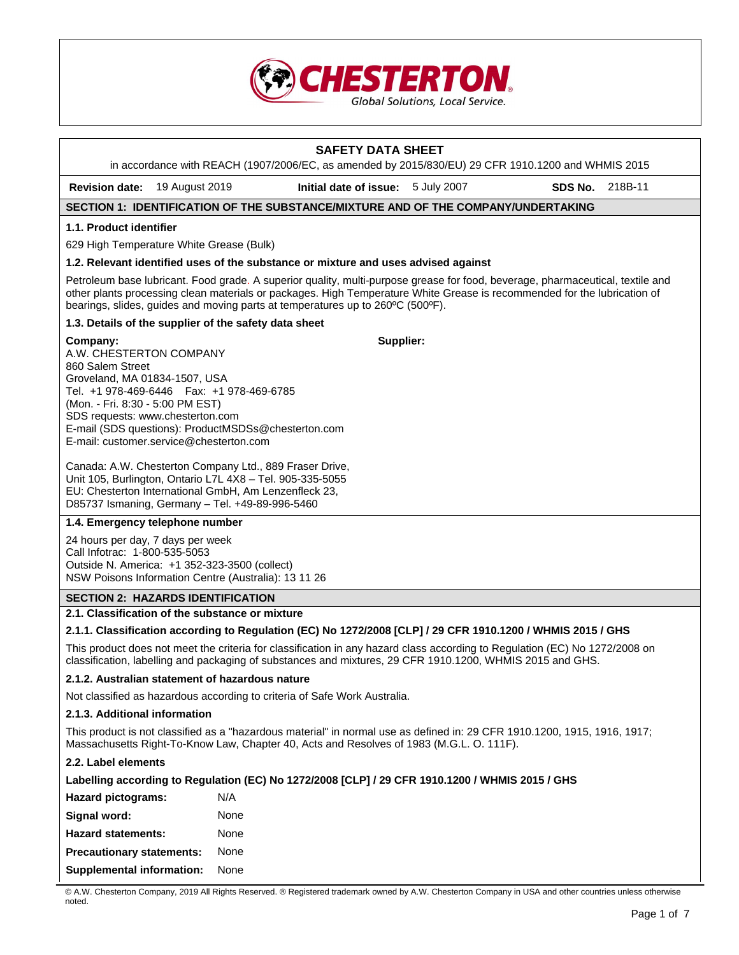

# **SAFETY DATA SHEET**

in accordance with REACH (1907/2006/EC, as amended by 2015/830/EU) 29 CFR 1910.1200 and WHMIS 2015

**Revision date:** 19 August 2019 **Initial date of issue:** 5 July 2007 **SDS No.** 218B-11

# **SECTION 1: IDENTIFICATION OF THE SUBSTANCE/MIXTURE AND OF THE COMPANY/UNDERTAKING**

### **1.1. Product identifier**

629 High Temperature White Grease (Bulk)

### **1.2. Relevant identified uses of the substance or mixture and uses advised against**

Petroleum base lubricant. Food grade. A superior quality, multi-purpose grease for food, beverage, pharmaceutical, textile and other plants processing clean materials or packages. High Temperature White Grease is recommended for the lubrication of bearings, slides, guides and moving parts at temperatures up to 260ºC (500ºF).

### **1.3. Details of the supplier of the safety data sheet**

### **Company:**

**Supplier:**

A.W. CHESTERTON COMPANY 860 Salem Street Groveland, MA 01834-1507, USA Tel. +1 978-469-6446 Fax: +1 978-469-6785 (Mon. - Fri. 8:30 - 5:00 PM EST) SDS requests: www.chesterton.com E-mail (SDS questions): ProductMSDSs@chesterton.com E-mail: customer.service@chesterton.com

Canada: A.W. Chesterton Company Ltd., 889 Fraser Drive, Unit 105, Burlington, Ontario L7L 4X8 – Tel. 905-335-5055 EU: Chesterton International GmbH, Am Lenzenfleck 23, D85737 Ismaning, Germany – Tel. +49-89-996-5460

# **1.4. Emergency telephone number**

24 hours per day, 7 days per week Call Infotrac: 1-800-535-5053 Outside N. America: +1 352-323-3500 (collect) NSW Poisons Information Centre (Australia): 13 11 26

# **SECTION 2: HAZARDS IDENTIFICATION**

# **2.1. Classification of the substance or mixture**

### **2.1.1. Classification according to Regulation (EC) No 1272/2008 [CLP] / 29 CFR 1910.1200 / WHMIS 2015 / GHS**

This product does not meet the criteria for classification in any hazard class according to Regulation (EC) No 1272/2008 on classification, labelling and packaging of substances and mixtures, 29 CFR 1910.1200, WHMIS 2015 and GHS.

### **2.1.2. Australian statement of hazardous nature**

Not classified as hazardous according to criteria of Safe Work Australia.

### **2.1.3. Additional information**

This product is not classified as a "hazardous material" in normal use as defined in: 29 CFR 1910.1200, 1915, 1916, 1917; Massachusetts Right-To-Know Law, Chapter 40, Acts and Resolves of 1983 (M.G.L. O. 111F).

### **2.2. Label elements**

### **Labelling according to Regulation (EC) No 1272/2008 [CLP] / 29 CFR 1910.1200 / WHMIS 2015 / GHS**

| N/A  |
|------|
| None |
| None |
| None |
| None |
|      |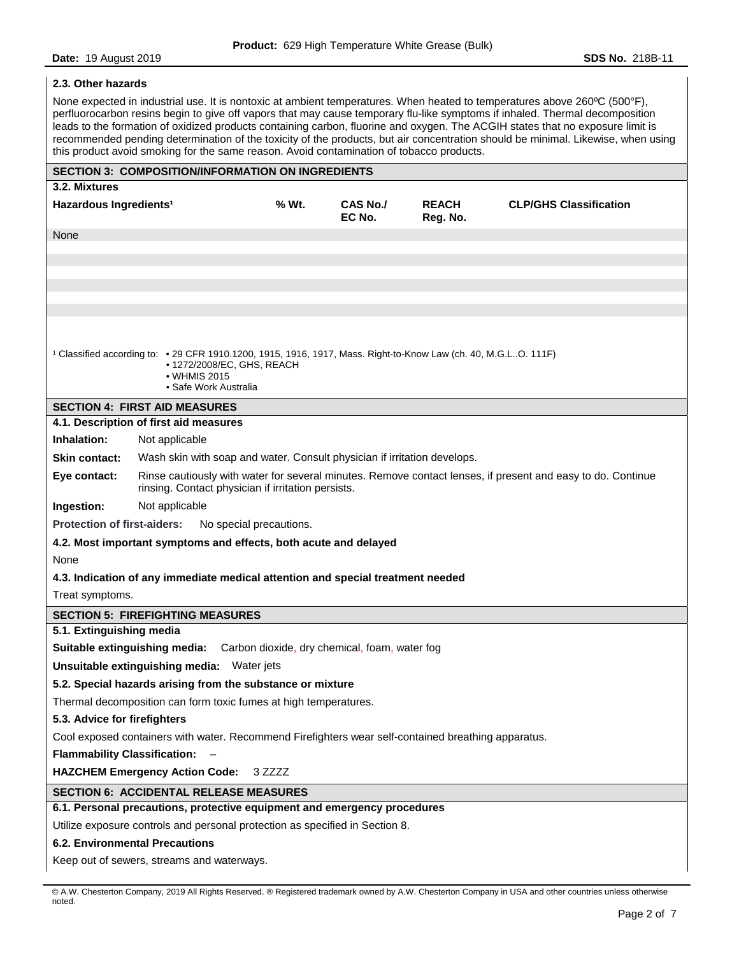# **2.3. Other hazards**

None expected in industrial use. It is nontoxic at ambient temperatures. When heated to temperatures above 260°C (500°F), perfluorocarbon resins begin to give off vapors that may cause temporary flu-like symptoms if inhaled. Thermal decomposition leads to the formation of oxidized products containing carbon, fluorine and oxygen. The ACGIH states that no exposure limit is recommended pending determination of the toxicity of the products, but air concentration should be minimal. Likewise, when using this product avoid smoking for the same reason. Avoid contamination of tobacco products.

|                                                                                                                                                                                        | <b>SECTION 3: COMPOSITION/INFORMATION ON INGREDIENTS</b>                                                                                                          |       |                    |                          |                               |
|----------------------------------------------------------------------------------------------------------------------------------------------------------------------------------------|-------------------------------------------------------------------------------------------------------------------------------------------------------------------|-------|--------------------|--------------------------|-------------------------------|
| 3.2. Mixtures                                                                                                                                                                          |                                                                                                                                                                   |       |                    |                          |                               |
| Hazardous Ingredients <sup>1</sup>                                                                                                                                                     |                                                                                                                                                                   | % Wt. | CAS No./<br>EC No. | <b>REACH</b><br>Reg. No. | <b>CLP/GHS Classification</b> |
| None                                                                                                                                                                                   |                                                                                                                                                                   |       |                    |                          |                               |
|                                                                                                                                                                                        |                                                                                                                                                                   |       |                    |                          |                               |
|                                                                                                                                                                                        |                                                                                                                                                                   |       |                    |                          |                               |
|                                                                                                                                                                                        |                                                                                                                                                                   |       |                    |                          |                               |
|                                                                                                                                                                                        |                                                                                                                                                                   |       |                    |                          |                               |
|                                                                                                                                                                                        |                                                                                                                                                                   |       |                    |                          |                               |
| 1 Classified according to: • 29 CFR 1910.1200, 1915, 1916, 1917, Mass. Right-to-Know Law (ch. 40, M.G.LO. 111F)<br>• 1272/2008/EC, GHS, REACH<br>• WHMIS 2015<br>• Safe Work Australia |                                                                                                                                                                   |       |                    |                          |                               |
|                                                                                                                                                                                        | <b>SECTION 4: FIRST AID MEASURES</b>                                                                                                                              |       |                    |                          |                               |
|                                                                                                                                                                                        | 4.1. Description of first aid measures                                                                                                                            |       |                    |                          |                               |
| Inhalation:                                                                                                                                                                            | Not applicable                                                                                                                                                    |       |                    |                          |                               |
| <b>Skin contact:</b>                                                                                                                                                                   | Wash skin with soap and water. Consult physician if irritation develops.                                                                                          |       |                    |                          |                               |
| Eye contact:                                                                                                                                                                           | Rinse cautiously with water for several minutes. Remove contact lenses, if present and easy to do. Continue<br>rinsing. Contact physician if irritation persists. |       |                    |                          |                               |
| Ingestion:                                                                                                                                                                             | Not applicable                                                                                                                                                    |       |                    |                          |                               |
| <b>Protection of first-aiders:</b>                                                                                                                                                     | No special precautions.                                                                                                                                           |       |                    |                          |                               |
|                                                                                                                                                                                        | 4.2. Most important symptoms and effects, both acute and delayed                                                                                                  |       |                    |                          |                               |
| None                                                                                                                                                                                   |                                                                                                                                                                   |       |                    |                          |                               |
|                                                                                                                                                                                        | 4.3. Indication of any immediate medical attention and special treatment needed                                                                                   |       |                    |                          |                               |
| Treat symptoms.                                                                                                                                                                        |                                                                                                                                                                   |       |                    |                          |                               |
| <b>SECTION 5: FIREFIGHTING MEASURES</b>                                                                                                                                                |                                                                                                                                                                   |       |                    |                          |                               |
| 5.1. Extinguishing media                                                                                                                                                               |                                                                                                                                                                   |       |                    |                          |                               |
| Suitable extinguishing media: Carbon dioxide, dry chemical, foam, water fog                                                                                                            |                                                                                                                                                                   |       |                    |                          |                               |
| Unsuitable extinguishing media: Water jets                                                                                                                                             |                                                                                                                                                                   |       |                    |                          |                               |
| 5.2. Special hazards arising from the substance or mixture                                                                                                                             |                                                                                                                                                                   |       |                    |                          |                               |
| Thermal decomposition can form toxic fumes at high temperatures.                                                                                                                       |                                                                                                                                                                   |       |                    |                          |                               |
| 5.3. Advice for firefighters                                                                                                                                                           |                                                                                                                                                                   |       |                    |                          |                               |
| Cool exposed containers with water. Recommend Firefighters wear self-contained breathing apparatus.                                                                                    |                                                                                                                                                                   |       |                    |                          |                               |
| Flammability Classification: -                                                                                                                                                         |                                                                                                                                                                   |       |                    |                          |                               |
| <b>HAZCHEM Emergency Action Code:</b><br>3 ZZZZ                                                                                                                                        |                                                                                                                                                                   |       |                    |                          |                               |
| <b>SECTION 6: ACCIDENTAL RELEASE MEASURES</b>                                                                                                                                          |                                                                                                                                                                   |       |                    |                          |                               |
| 6.1. Personal precautions, protective equipment and emergency procedures                                                                                                               |                                                                                                                                                                   |       |                    |                          |                               |
| Utilize exposure controls and personal protection as specified in Section 8.                                                                                                           |                                                                                                                                                                   |       |                    |                          |                               |
| <b>6.2. Environmental Precautions</b>                                                                                                                                                  |                                                                                                                                                                   |       |                    |                          |                               |
| Keep out of sewers, streams and waterways.                                                                                                                                             |                                                                                                                                                                   |       |                    |                          |                               |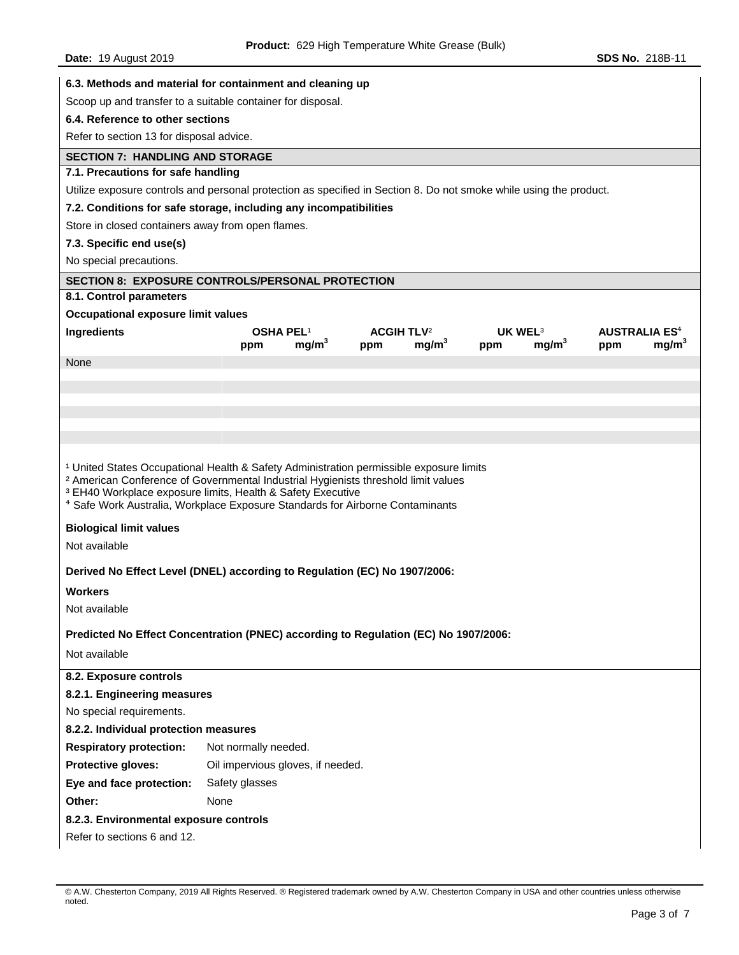| 6.3. Methods and material for containment and cleaning up                                                                                                                                                                                                                                                                                                                 |                                   |                   |                              |                   |                     |                   |     |                                 |
|---------------------------------------------------------------------------------------------------------------------------------------------------------------------------------------------------------------------------------------------------------------------------------------------------------------------------------------------------------------------------|-----------------------------------|-------------------|------------------------------|-------------------|---------------------|-------------------|-----|---------------------------------|
| Scoop up and transfer to a suitable container for disposal.                                                                                                                                                                                                                                                                                                               |                                   |                   |                              |                   |                     |                   |     |                                 |
| 6.4. Reference to other sections                                                                                                                                                                                                                                                                                                                                          |                                   |                   |                              |                   |                     |                   |     |                                 |
| Refer to section 13 for disposal advice.                                                                                                                                                                                                                                                                                                                                  |                                   |                   |                              |                   |                     |                   |     |                                 |
| <b>SECTION 7: HANDLING AND STORAGE</b>                                                                                                                                                                                                                                                                                                                                    |                                   |                   |                              |                   |                     |                   |     |                                 |
| 7.1. Precautions for safe handling                                                                                                                                                                                                                                                                                                                                        |                                   |                   |                              |                   |                     |                   |     |                                 |
| Utilize exposure controls and personal protection as specified in Section 8. Do not smoke while using the product.                                                                                                                                                                                                                                                        |                                   |                   |                              |                   |                     |                   |     |                                 |
| 7.2. Conditions for safe storage, including any incompatibilities                                                                                                                                                                                                                                                                                                         |                                   |                   |                              |                   |                     |                   |     |                                 |
| Store in closed containers away from open flames.                                                                                                                                                                                                                                                                                                                         |                                   |                   |                              |                   |                     |                   |     |                                 |
| 7.3. Specific end use(s)                                                                                                                                                                                                                                                                                                                                                  |                                   |                   |                              |                   |                     |                   |     |                                 |
| No special precautions.                                                                                                                                                                                                                                                                                                                                                   |                                   |                   |                              |                   |                     |                   |     |                                 |
| <b>SECTION 8: EXPOSURE CONTROLS/PERSONAL PROTECTION</b>                                                                                                                                                                                                                                                                                                                   |                                   |                   |                              |                   |                     |                   |     |                                 |
| 8.1. Control parameters                                                                                                                                                                                                                                                                                                                                                   |                                   |                   |                              |                   |                     |                   |     |                                 |
| Occupational exposure limit values                                                                                                                                                                                                                                                                                                                                        |                                   |                   |                              |                   |                     |                   |     |                                 |
| Ingredients                                                                                                                                                                                                                                                                                                                                                               | <b>OSHA PEL1</b>                  |                   | <b>ACGIH TLV<sup>2</sup></b> |                   | UK WEL <sup>3</sup> |                   |     | <b>AUSTRALIA ES<sup>4</sup></b> |
| None                                                                                                                                                                                                                                                                                                                                                                      | ppm                               | mg/m <sup>3</sup> | ppm                          | mg/m <sup>3</sup> | ppm                 | mg/m <sup>3</sup> | ppm | mg/m <sup>3</sup>               |
|                                                                                                                                                                                                                                                                                                                                                                           |                                   |                   |                              |                   |                     |                   |     |                                 |
|                                                                                                                                                                                                                                                                                                                                                                           |                                   |                   |                              |                   |                     |                   |     |                                 |
|                                                                                                                                                                                                                                                                                                                                                                           |                                   |                   |                              |                   |                     |                   |     |                                 |
|                                                                                                                                                                                                                                                                                                                                                                           |                                   |                   |                              |                   |                     |                   |     |                                 |
|                                                                                                                                                                                                                                                                                                                                                                           |                                   |                   |                              |                   |                     |                   |     |                                 |
| <sup>1</sup> United States Occupational Health & Safety Administration permissible exposure limits<br><sup>2</sup> American Conference of Governmental Industrial Hygienists threshold limit values<br><sup>3</sup> EH40 Workplace exposure limits, Health & Safety Executive<br><sup>4</sup> Safe Work Australia, Workplace Exposure Standards for Airborne Contaminants |                                   |                   |                              |                   |                     |                   |     |                                 |
| <b>Biological limit values</b>                                                                                                                                                                                                                                                                                                                                            |                                   |                   |                              |                   |                     |                   |     |                                 |
| Not available                                                                                                                                                                                                                                                                                                                                                             |                                   |                   |                              |                   |                     |                   |     |                                 |
| Derived No Effect Level (DNEL) according to Regulation (EC) No 1907/2006:                                                                                                                                                                                                                                                                                                 |                                   |                   |                              |                   |                     |                   |     |                                 |
| <b>Workers</b>                                                                                                                                                                                                                                                                                                                                                            |                                   |                   |                              |                   |                     |                   |     |                                 |
| Not available                                                                                                                                                                                                                                                                                                                                                             |                                   |                   |                              |                   |                     |                   |     |                                 |
|                                                                                                                                                                                                                                                                                                                                                                           |                                   |                   |                              |                   |                     |                   |     |                                 |
| Predicted No Effect Concentration (PNEC) according to Regulation (EC) No 1907/2006:<br>Not available                                                                                                                                                                                                                                                                      |                                   |                   |                              |                   |                     |                   |     |                                 |
|                                                                                                                                                                                                                                                                                                                                                                           |                                   |                   |                              |                   |                     |                   |     |                                 |
| 8.2. Exposure controls                                                                                                                                                                                                                                                                                                                                                    |                                   |                   |                              |                   |                     |                   |     |                                 |
| 8.2.1. Engineering measures                                                                                                                                                                                                                                                                                                                                               |                                   |                   |                              |                   |                     |                   |     |                                 |
| No special requirements.                                                                                                                                                                                                                                                                                                                                                  |                                   |                   |                              |                   |                     |                   |     |                                 |
| 8.2.2. Individual protection measures                                                                                                                                                                                                                                                                                                                                     |                                   |                   |                              |                   |                     |                   |     |                                 |
| <b>Respiratory protection:</b>                                                                                                                                                                                                                                                                                                                                            | Not normally needed.              |                   |                              |                   |                     |                   |     |                                 |
| Protective gloves:                                                                                                                                                                                                                                                                                                                                                        | Oil impervious gloves, if needed. |                   |                              |                   |                     |                   |     |                                 |
| Eye and face protection:                                                                                                                                                                                                                                                                                                                                                  | Safety glasses                    |                   |                              |                   |                     |                   |     |                                 |
| Other:                                                                                                                                                                                                                                                                                                                                                                    | None                              |                   |                              |                   |                     |                   |     |                                 |
| 8.2.3. Environmental exposure controls                                                                                                                                                                                                                                                                                                                                    |                                   |                   |                              |                   |                     |                   |     |                                 |
| Refer to sections 6 and 12.                                                                                                                                                                                                                                                                                                                                               |                                   |                   |                              |                   |                     |                   |     |                                 |
|                                                                                                                                                                                                                                                                                                                                                                           |                                   |                   |                              |                   |                     |                   |     |                                 |

<sup>©</sup> A.W. Chesterton Company, 2019 All Rights Reserved. ® Registered trademark owned by A.W. Chesterton Company in USA and other countries unless otherwise noted.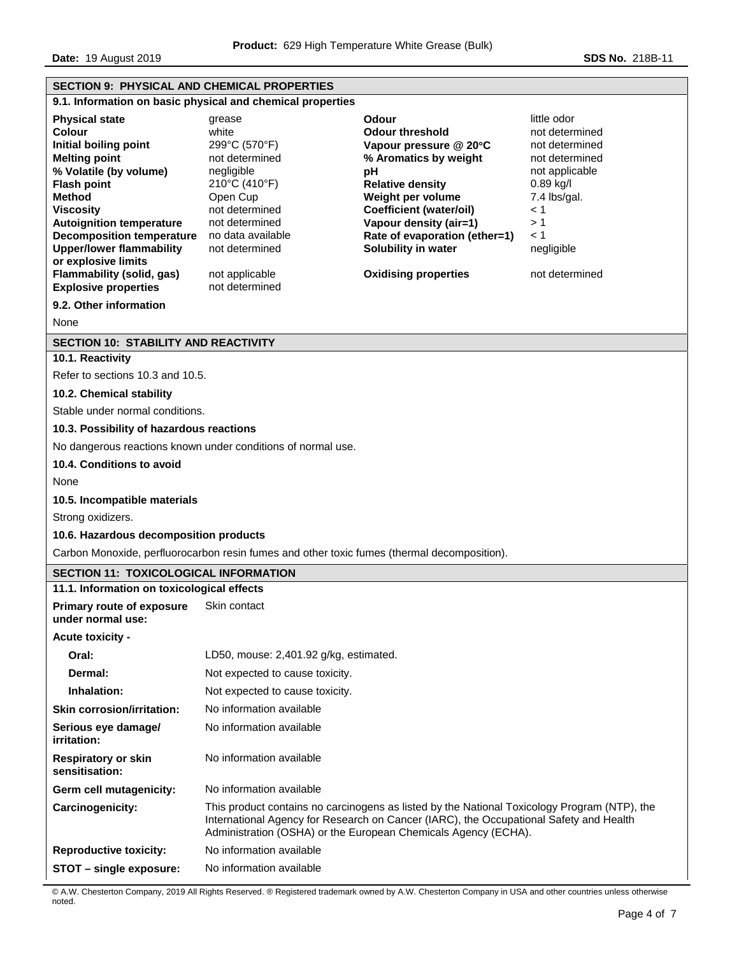**Date: 19 August 2019 SDS No. 218B-11** 

| <b>SECTION 9: PHYSICAL AND CHEMICAL PROPERTIES</b>                                                                                                                                                                                                                                                                                                                                                  |                                                                                                                                                                                                              |                                                                                                                                                                                                                                                                                                    |                                                                                                                                                                        |  |  |
|-----------------------------------------------------------------------------------------------------------------------------------------------------------------------------------------------------------------------------------------------------------------------------------------------------------------------------------------------------------------------------------------------------|--------------------------------------------------------------------------------------------------------------------------------------------------------------------------------------------------------------|----------------------------------------------------------------------------------------------------------------------------------------------------------------------------------------------------------------------------------------------------------------------------------------------------|------------------------------------------------------------------------------------------------------------------------------------------------------------------------|--|--|
| 9.1. Information on basic physical and chemical properties                                                                                                                                                                                                                                                                                                                                          |                                                                                                                                                                                                              |                                                                                                                                                                                                                                                                                                    |                                                                                                                                                                        |  |  |
| <b>Physical state</b><br><b>Colour</b><br>Initial boiling point<br><b>Melting point</b><br>% Volatile (by volume)<br><b>Flash point</b><br><b>Method</b><br><b>Viscosity</b><br><b>Autoignition temperature</b><br><b>Decomposition temperature</b><br><b>Upper/lower flammability</b><br>or explosive limits<br>Flammability (solid, gas)<br><b>Explosive properties</b><br>9.2. Other information | grease<br>white<br>299°C (570°F)<br>not determined<br>negligible<br>210°C (410°F)<br>Open Cup<br>not determined<br>not determined<br>no data available<br>not determined<br>not applicable<br>not determined | <b>Odour</b><br><b>Odour threshold</b><br>Vapour pressure @ 20°C<br>% Aromatics by weight<br>pH<br><b>Relative density</b><br>Weight per volume<br><b>Coefficient (water/oil)</b><br>Vapour density (air=1)<br>Rate of evaporation (ether=1)<br>Solubility in water<br><b>Oxidising properties</b> | little odor<br>not determined<br>not determined<br>not determined<br>not applicable<br>$0.89$ kg/l<br>7.4 lbs/gal.<br>< 1<br>>1<br>< 1<br>negligible<br>not determined |  |  |
| None                                                                                                                                                                                                                                                                                                                                                                                                |                                                                                                                                                                                                              |                                                                                                                                                                                                                                                                                                    |                                                                                                                                                                        |  |  |
| <b>SECTION 10: STABILITY AND REACTIVITY</b>                                                                                                                                                                                                                                                                                                                                                         |                                                                                                                                                                                                              |                                                                                                                                                                                                                                                                                                    |                                                                                                                                                                        |  |  |
| 10.1. Reactivity                                                                                                                                                                                                                                                                                                                                                                                    |                                                                                                                                                                                                              |                                                                                                                                                                                                                                                                                                    |                                                                                                                                                                        |  |  |
| Refer to sections 10.3 and 10.5.                                                                                                                                                                                                                                                                                                                                                                    |                                                                                                                                                                                                              |                                                                                                                                                                                                                                                                                                    |                                                                                                                                                                        |  |  |
| 10.2. Chemical stability                                                                                                                                                                                                                                                                                                                                                                            |                                                                                                                                                                                                              |                                                                                                                                                                                                                                                                                                    |                                                                                                                                                                        |  |  |
| Stable under normal conditions.                                                                                                                                                                                                                                                                                                                                                                     |                                                                                                                                                                                                              |                                                                                                                                                                                                                                                                                                    |                                                                                                                                                                        |  |  |
| 10.3. Possibility of hazardous reactions                                                                                                                                                                                                                                                                                                                                                            |                                                                                                                                                                                                              |                                                                                                                                                                                                                                                                                                    |                                                                                                                                                                        |  |  |
|                                                                                                                                                                                                                                                                                                                                                                                                     | No dangerous reactions known under conditions of normal use.                                                                                                                                                 |                                                                                                                                                                                                                                                                                                    |                                                                                                                                                                        |  |  |
| 10.4. Conditions to avoid                                                                                                                                                                                                                                                                                                                                                                           |                                                                                                                                                                                                              |                                                                                                                                                                                                                                                                                                    |                                                                                                                                                                        |  |  |
| None                                                                                                                                                                                                                                                                                                                                                                                                |                                                                                                                                                                                                              |                                                                                                                                                                                                                                                                                                    |                                                                                                                                                                        |  |  |
| 10.5. Incompatible materials                                                                                                                                                                                                                                                                                                                                                                        |                                                                                                                                                                                                              |                                                                                                                                                                                                                                                                                                    |                                                                                                                                                                        |  |  |
| Strong oxidizers.                                                                                                                                                                                                                                                                                                                                                                                   |                                                                                                                                                                                                              |                                                                                                                                                                                                                                                                                                    |                                                                                                                                                                        |  |  |
| 10.6. Hazardous decomposition products                                                                                                                                                                                                                                                                                                                                                              |                                                                                                                                                                                                              |                                                                                                                                                                                                                                                                                                    |                                                                                                                                                                        |  |  |
| Carbon Monoxide, perfluorocarbon resin fumes and other toxic fumes (thermal decomposition).                                                                                                                                                                                                                                                                                                         |                                                                                                                                                                                                              |                                                                                                                                                                                                                                                                                                    |                                                                                                                                                                        |  |  |
| <b>SECTION 11: TOXICOLOGICAL INFORMATION</b>                                                                                                                                                                                                                                                                                                                                                        |                                                                                                                                                                                                              |                                                                                                                                                                                                                                                                                                    |                                                                                                                                                                        |  |  |
| 11.1. Information on toxicological effects                                                                                                                                                                                                                                                                                                                                                          |                                                                                                                                                                                                              |                                                                                                                                                                                                                                                                                                    |                                                                                                                                                                        |  |  |
| <b>Primary route of exposure</b><br>under normal use:                                                                                                                                                                                                                                                                                                                                               | Skin contact                                                                                                                                                                                                 |                                                                                                                                                                                                                                                                                                    |                                                                                                                                                                        |  |  |
| <b>Acute toxicity -</b>                                                                                                                                                                                                                                                                                                                                                                             |                                                                                                                                                                                                              |                                                                                                                                                                                                                                                                                                    |                                                                                                                                                                        |  |  |
| Oral:                                                                                                                                                                                                                                                                                                                                                                                               | LD50, mouse: 2,401.92 g/kg, estimated.                                                                                                                                                                       |                                                                                                                                                                                                                                                                                                    |                                                                                                                                                                        |  |  |
| Dermal:                                                                                                                                                                                                                                                                                                                                                                                             | Not expected to cause toxicity.                                                                                                                                                                              |                                                                                                                                                                                                                                                                                                    |                                                                                                                                                                        |  |  |
| Inhalation:                                                                                                                                                                                                                                                                                                                                                                                         | Not expected to cause toxicity.                                                                                                                                                                              |                                                                                                                                                                                                                                                                                                    |                                                                                                                                                                        |  |  |
| <b>Skin corrosion/irritation:</b>                                                                                                                                                                                                                                                                                                                                                                   | No information available                                                                                                                                                                                     |                                                                                                                                                                                                                                                                                                    |                                                                                                                                                                        |  |  |
| Serious eye damage/<br>irritation:                                                                                                                                                                                                                                                                                                                                                                  | No information available                                                                                                                                                                                     |                                                                                                                                                                                                                                                                                                    |                                                                                                                                                                        |  |  |
| <b>Respiratory or skin</b><br>sensitisation:                                                                                                                                                                                                                                                                                                                                                        | No information available                                                                                                                                                                                     |                                                                                                                                                                                                                                                                                                    |                                                                                                                                                                        |  |  |
| Germ cell mutagenicity:                                                                                                                                                                                                                                                                                                                                                                             | No information available                                                                                                                                                                                     |                                                                                                                                                                                                                                                                                                    |                                                                                                                                                                        |  |  |
| Carcinogenicity:                                                                                                                                                                                                                                                                                                                                                                                    |                                                                                                                                                                                                              | This product contains no carcinogens as listed by the National Toxicology Program (NTP), the<br>International Agency for Research on Cancer (IARC), the Occupational Safety and Health<br>Administration (OSHA) or the European Chemicals Agency (ECHA).                                           |                                                                                                                                                                        |  |  |
| <b>Reproductive toxicity:</b>                                                                                                                                                                                                                                                                                                                                                                       | No information available                                                                                                                                                                                     |                                                                                                                                                                                                                                                                                                    |                                                                                                                                                                        |  |  |
| STOT - single exposure:                                                                                                                                                                                                                                                                                                                                                                             | No information available                                                                                                                                                                                     |                                                                                                                                                                                                                                                                                                    |                                                                                                                                                                        |  |  |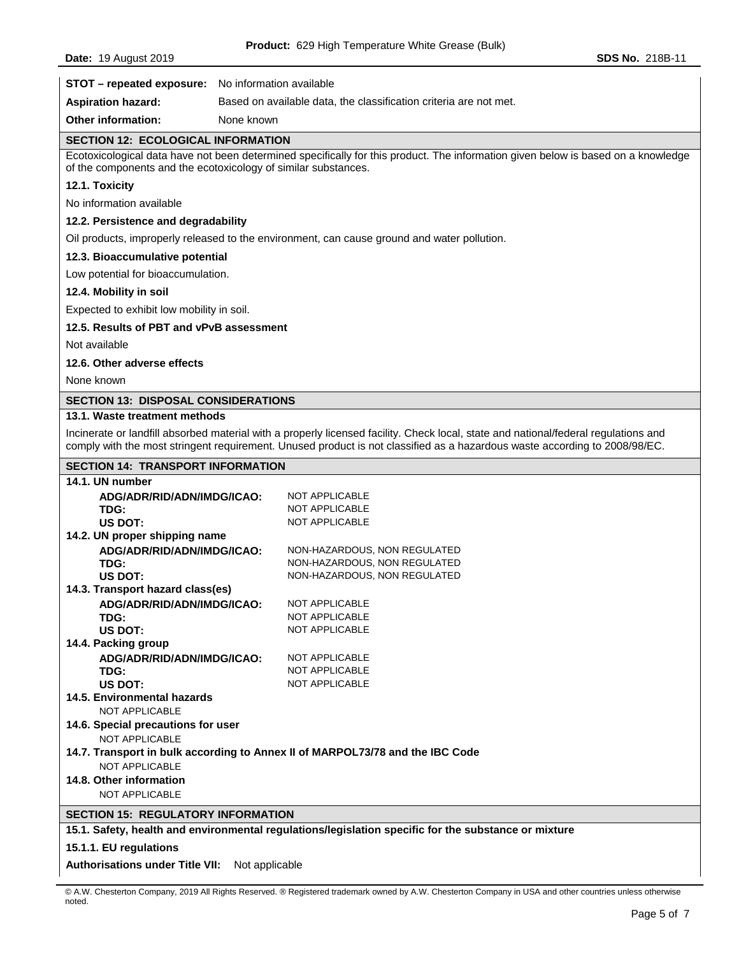| STOT - repeated exposure: No information available       |                                                                                                                                                                                                                                                                   |  |  |  |
|----------------------------------------------------------|-------------------------------------------------------------------------------------------------------------------------------------------------------------------------------------------------------------------------------------------------------------------|--|--|--|
| <b>Aspiration hazard:</b>                                | Based on available data, the classification criteria are not met.                                                                                                                                                                                                 |  |  |  |
| <b>Other information:</b>                                | None known                                                                                                                                                                                                                                                        |  |  |  |
| <b>SECTION 12: ECOLOGICAL INFORMATION</b>                |                                                                                                                                                                                                                                                                   |  |  |  |
|                                                          | Ecotoxicological data have not been determined specifically for this product. The information given below is based on a knowledge<br>of the components and the ecotoxicology of similar substances.                                                               |  |  |  |
| 12.1. Toxicity                                           |                                                                                                                                                                                                                                                                   |  |  |  |
| No information available                                 |                                                                                                                                                                                                                                                                   |  |  |  |
| 12.2. Persistence and degradability                      |                                                                                                                                                                                                                                                                   |  |  |  |
|                                                          | Oil products, improperly released to the environment, can cause ground and water pollution.                                                                                                                                                                       |  |  |  |
| 12.3. Bioaccumulative potential                          |                                                                                                                                                                                                                                                                   |  |  |  |
| Low potential for bioaccumulation.                       |                                                                                                                                                                                                                                                                   |  |  |  |
| 12.4. Mobility in soil                                   |                                                                                                                                                                                                                                                                   |  |  |  |
| Expected to exhibit low mobility in soil.                |                                                                                                                                                                                                                                                                   |  |  |  |
| 12.5. Results of PBT and vPvB assessment                 |                                                                                                                                                                                                                                                                   |  |  |  |
| Not available                                            |                                                                                                                                                                                                                                                                   |  |  |  |
| 12.6. Other adverse effects                              |                                                                                                                                                                                                                                                                   |  |  |  |
| None known                                               |                                                                                                                                                                                                                                                                   |  |  |  |
| <b>SECTION 13: DISPOSAL CONSIDERATIONS</b>               |                                                                                                                                                                                                                                                                   |  |  |  |
| 13.1. Waste treatment methods                            |                                                                                                                                                                                                                                                                   |  |  |  |
|                                                          | Incinerate or landfill absorbed material with a properly licensed facility. Check local, state and national/federal regulations and<br>comply with the most stringent requirement. Unused product is not classified as a hazardous waste according to 2008/98/EC. |  |  |  |
| <b>SECTION 14: TRANSPORT INFORMATION</b>                 |                                                                                                                                                                                                                                                                   |  |  |  |
| 14.1. UN number                                          |                                                                                                                                                                                                                                                                   |  |  |  |
| ADG/ADR/RID/ADN/IMDG/ICAO:                               | NOT APPLICABLE                                                                                                                                                                                                                                                    |  |  |  |
| TDG:<br><b>US DOT:</b>                                   | NOT APPLICABLE<br>NOT APPLICABLE                                                                                                                                                                                                                                  |  |  |  |
| 14.2. UN proper shipping name                            |                                                                                                                                                                                                                                                                   |  |  |  |
| ADG/ADR/RID/ADN/IMDG/ICAO:                               | NON-HAZARDOUS, NON REGULATED                                                                                                                                                                                                                                      |  |  |  |
| TDG:                                                     | NON-HAZARDOUS, NON REGULATED                                                                                                                                                                                                                                      |  |  |  |
| <b>US DOT:</b><br>14.3. Transport hazard class(es)       | NON-HAZARDOUS, NON REGULATED                                                                                                                                                                                                                                      |  |  |  |
| ADG/ADR/RID/ADN/IMDG/ICAO:                               | NOT APPLICABLE                                                                                                                                                                                                                                                    |  |  |  |
| TDG:                                                     | NOT APPLICABLE                                                                                                                                                                                                                                                    |  |  |  |
| US DOT:                                                  | NOT APPLICABLE                                                                                                                                                                                                                                                    |  |  |  |
| 14.4. Packing group                                      | NOT APPLICABLE                                                                                                                                                                                                                                                    |  |  |  |
| ADG/ADR/RID/ADN/IMDG/ICAO:<br>TDG:                       | NOT APPLICABLE                                                                                                                                                                                                                                                    |  |  |  |
| <b>US DOT:</b>                                           | <b>NOT APPLICABLE</b>                                                                                                                                                                                                                                             |  |  |  |
| 14.5. Environmental hazards<br><b>NOT APPLICABLE</b>     |                                                                                                                                                                                                                                                                   |  |  |  |
| 14.6. Special precautions for user<br>NOT APPLICABLE     |                                                                                                                                                                                                                                                                   |  |  |  |
| <b>NOT APPLICABLE</b>                                    | 14.7. Transport in bulk according to Annex II of MARPOL73/78 and the IBC Code                                                                                                                                                                                     |  |  |  |
| 14.8. Other information                                  |                                                                                                                                                                                                                                                                   |  |  |  |
| <b>NOT APPLICABLE</b>                                    |                                                                                                                                                                                                                                                                   |  |  |  |
| <b>SECTION 15: REGULATORY INFORMATION</b>                |                                                                                                                                                                                                                                                                   |  |  |  |
|                                                          | 15.1. Safety, health and environmental regulations/legislation specific for the substance or mixture                                                                                                                                                              |  |  |  |
| 15.1.1. EU regulations                                   |                                                                                                                                                                                                                                                                   |  |  |  |
| <b>Authorisations under Title VII:</b><br>Not applicable |                                                                                                                                                                                                                                                                   |  |  |  |

<sup>©</sup> A.W. Chesterton Company, 2019 All Rights Reserved. ® Registered trademark owned by A.W. Chesterton Company in USA and other countries unless otherwise noted.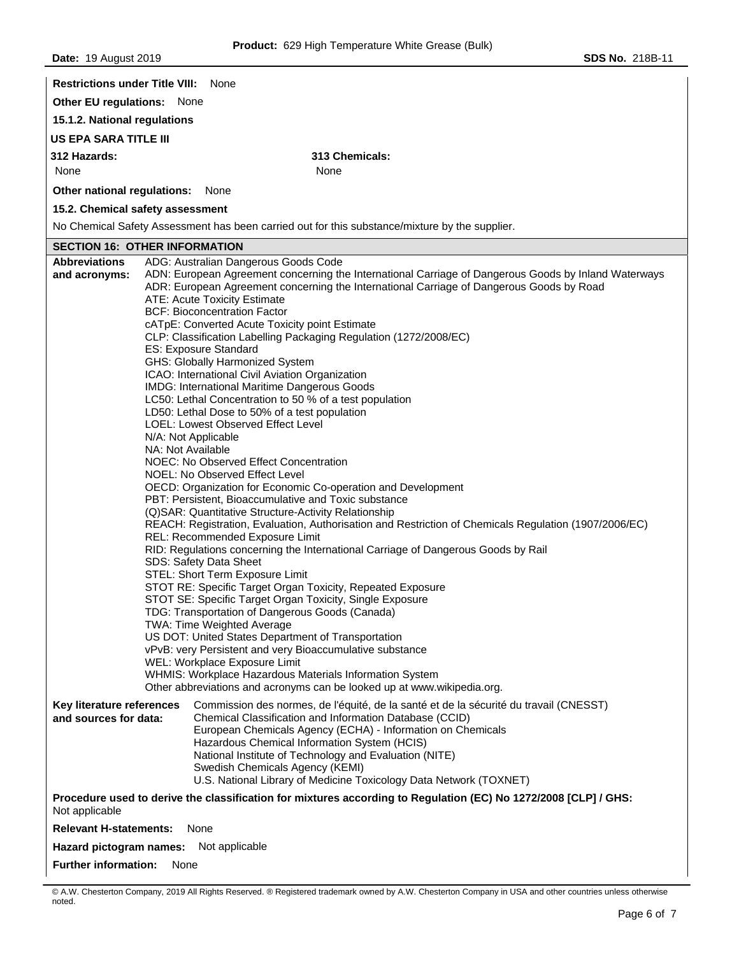| <b>Restrictions under Title VIII:</b> None                                                                                        |                                                                                                                                                                                                  |  |  |  |  |
|-----------------------------------------------------------------------------------------------------------------------------------|--------------------------------------------------------------------------------------------------------------------------------------------------------------------------------------------------|--|--|--|--|
| Other EU regulations: None                                                                                                        |                                                                                                                                                                                                  |  |  |  |  |
| 15.1.2. National regulations                                                                                                      |                                                                                                                                                                                                  |  |  |  |  |
| <b>US EPA SARA TITLE III</b>                                                                                                      |                                                                                                                                                                                                  |  |  |  |  |
| 312 Hazards:                                                                                                                      | 313 Chemicals:                                                                                                                                                                                   |  |  |  |  |
| None                                                                                                                              | None                                                                                                                                                                                             |  |  |  |  |
| Other national regulations:                                                                                                       | None                                                                                                                                                                                             |  |  |  |  |
| 15.2. Chemical safety assessment                                                                                                  |                                                                                                                                                                                                  |  |  |  |  |
|                                                                                                                                   | No Chemical Safety Assessment has been carried out for this substance/mixture by the supplier.                                                                                                   |  |  |  |  |
| <b>SECTION 16: OTHER INFORMATION</b>                                                                                              |                                                                                                                                                                                                  |  |  |  |  |
| <b>Abbreviations</b>                                                                                                              | ADG: Australian Dangerous Goods Code                                                                                                                                                             |  |  |  |  |
| and acronyms:                                                                                                                     | ADN: European Agreement concerning the International Carriage of Dangerous Goods by Inland Waterways<br>ADR: European Agreement concerning the International Carriage of Dangerous Goods by Road |  |  |  |  |
|                                                                                                                                   | ATE: Acute Toxicity Estimate<br><b>BCF: Bioconcentration Factor</b>                                                                                                                              |  |  |  |  |
|                                                                                                                                   | cATpE: Converted Acute Toxicity point Estimate                                                                                                                                                   |  |  |  |  |
|                                                                                                                                   | CLP: Classification Labelling Packaging Regulation (1272/2008/EC)                                                                                                                                |  |  |  |  |
|                                                                                                                                   | ES: Exposure Standard                                                                                                                                                                            |  |  |  |  |
|                                                                                                                                   | GHS: Globally Harmonized System<br>ICAO: International Civil Aviation Organization                                                                                                               |  |  |  |  |
|                                                                                                                                   | IMDG: International Maritime Dangerous Goods                                                                                                                                                     |  |  |  |  |
|                                                                                                                                   | LC50: Lethal Concentration to 50 % of a test population<br>LD50: Lethal Dose to 50% of a test population                                                                                         |  |  |  |  |
|                                                                                                                                   | LOEL: Lowest Observed Effect Level                                                                                                                                                               |  |  |  |  |
|                                                                                                                                   | N/A: Not Applicable                                                                                                                                                                              |  |  |  |  |
|                                                                                                                                   | NA: Not Available<br>NOEC: No Observed Effect Concentration                                                                                                                                      |  |  |  |  |
|                                                                                                                                   | NOEL: No Observed Effect Level                                                                                                                                                                   |  |  |  |  |
|                                                                                                                                   | OECD: Organization for Economic Co-operation and Development                                                                                                                                     |  |  |  |  |
| PBT: Persistent, Bioaccumulative and Toxic substance<br>(Q)SAR: Quantitative Structure-Activity Relationship                      |                                                                                                                                                                                                  |  |  |  |  |
|                                                                                                                                   | REACH: Registration, Evaluation, Authorisation and Restriction of Chemicals Regulation (1907/2006/EC)                                                                                            |  |  |  |  |
| REL: Recommended Exposure Limit                                                                                                   |                                                                                                                                                                                                  |  |  |  |  |
| RID: Regulations concerning the International Carriage of Dangerous Goods by Rail                                                 |                                                                                                                                                                                                  |  |  |  |  |
| SDS: Safety Data Sheet<br>STEL: Short Term Exposure Limit                                                                         |                                                                                                                                                                                                  |  |  |  |  |
| STOT RE: Specific Target Organ Toxicity, Repeated Exposure                                                                        |                                                                                                                                                                                                  |  |  |  |  |
| STOT SE: Specific Target Organ Toxicity, Single Exposure<br>TDG: Transportation of Dangerous Goods (Canada)                       |                                                                                                                                                                                                  |  |  |  |  |
|                                                                                                                                   | <b>TWA: Time Weighted Average</b>                                                                                                                                                                |  |  |  |  |
| US DOT: United States Department of Transportation                                                                                |                                                                                                                                                                                                  |  |  |  |  |
| vPvB: very Persistent and very Bioaccumulative substance<br>WEL: Workplace Exposure Limit                                         |                                                                                                                                                                                                  |  |  |  |  |
|                                                                                                                                   | WHMIS: Workplace Hazardous Materials Information System                                                                                                                                          |  |  |  |  |
|                                                                                                                                   | Other abbreviations and acronyms can be looked up at www.wikipedia.org.                                                                                                                          |  |  |  |  |
| Key literature references<br>and sources for data:                                                                                | Commission des normes, de l'équité, de la santé et de la sécurité du travail (CNESST)<br>Chemical Classification and Information Database (CCID)                                                 |  |  |  |  |
|                                                                                                                                   | European Chemicals Agency (ECHA) - Information on Chemicals                                                                                                                                      |  |  |  |  |
|                                                                                                                                   | Hazardous Chemical Information System (HCIS)<br>National Institute of Technology and Evaluation (NITE)                                                                                           |  |  |  |  |
|                                                                                                                                   | Swedish Chemicals Agency (KEMI)                                                                                                                                                                  |  |  |  |  |
|                                                                                                                                   | U.S. National Library of Medicine Toxicology Data Network (TOXNET)                                                                                                                               |  |  |  |  |
| Procedure used to derive the classification for mixtures according to Regulation (EC) No 1272/2008 [CLP] / GHS:<br>Not applicable |                                                                                                                                                                                                  |  |  |  |  |
| <b>Relevant H-statements:</b>                                                                                                     | None                                                                                                                                                                                             |  |  |  |  |
| Hazard pictogram names:<br>Not applicable                                                                                         |                                                                                                                                                                                                  |  |  |  |  |
| <b>Further information:</b>                                                                                                       | None                                                                                                                                                                                             |  |  |  |  |
|                                                                                                                                   |                                                                                                                                                                                                  |  |  |  |  |